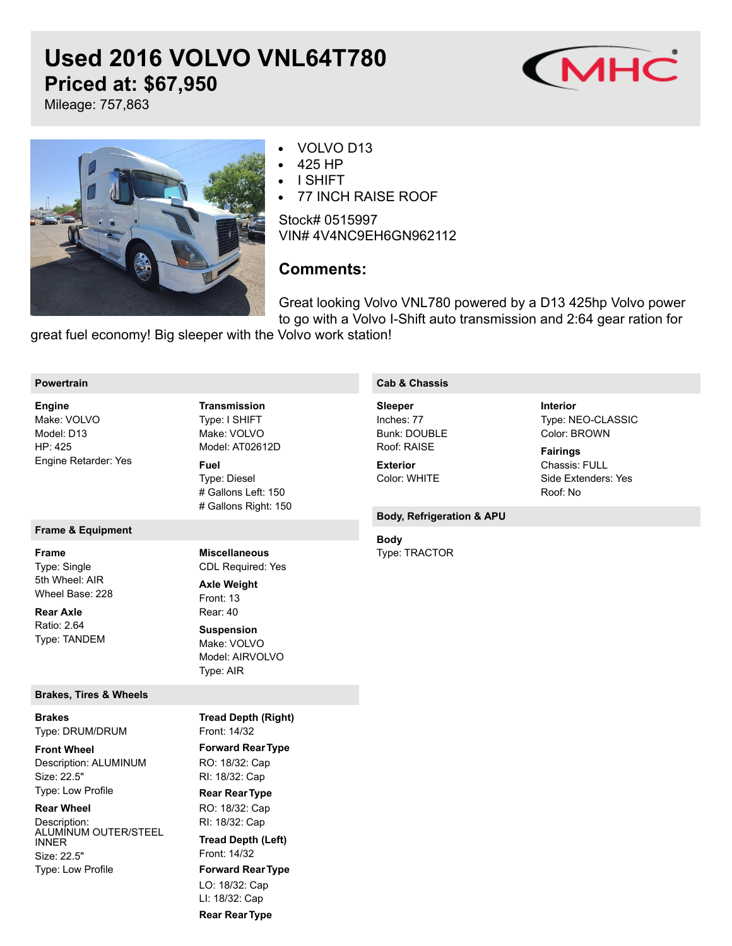# **Used 2016 VOLVO VNL64T780 Priced at: \$67,950**



Mileage: 757,863



## VOLVO D13

- 425 HP
- I SHIFT
- 77 INCH RAISE ROOF

Stock# 0515997 VIN# 4V4NC9EH6GN962112

# **Comments:**

Great looking Volvo VNL780 powered by a D13 425hp Volvo power to go with a Volvo I-Shift auto transmission and 2:64 gear ration for

great fuel economy! Big sleeper with the Volvo work station!

#### **Powertrain**

Make: VOLVO Model: D13 HP: 425 Engine Retarder: Yes **Engine**

#### **Frame & Equipment**

**Frame**

Type: Single 5th Wheel: AIR Wheel Base: 228

Ratio: 2.64 Type: TANDEM **Rear Axle**

#### **Brakes, Tires & Wheels**

Type: DRUM/DRUM **Brakes**

Description: ALUMINUM Size: 22.5" Type: Low Profile **Front Wheel**

#### **Rear Wheel**

Description: ALUMINUM OUTER/STEEL INNER Size: 22.5" Type: Low Profile

Type: I SHIFT Make: VOLVO Model: AT02612D **Transmission**

Type: Diesel # Gallons Left: 150 # Gallons Right: 150 **Fuel**

# **Miscellaneous**

CDL Required: Yes **Axle Weight**

Front: 13 Rear: 40 Make: VOLVO Model: AIRVOLVO Type: AIR **Suspension**

Front: 14/32 **Forward RearType** RO: 18/32: Cap RI: 18/32: Cap **Rear RearType** RO: 18/32: Cap RI: 18/32: Cap Front: 14/32 **Forward RearType** LO: 18/32: Cap LI: 18/32: Cap **Tread Depth (Right) Tread Depth (Left)**

### **Rear RearType**

#### **Cab & Chassis**

Inches: 77 Bunk: DOUBLE Roof: RAISE **Sleeper**

Color: WHITE **Exterior**

#### **Body, Refrigeration & APU**

Type: TRACTOR **Body**

Type: NEO-CLASSIC Color: BROWN **Interior**

Chassis: FULL Side Extenders: Yes Roof: No **Fairings**